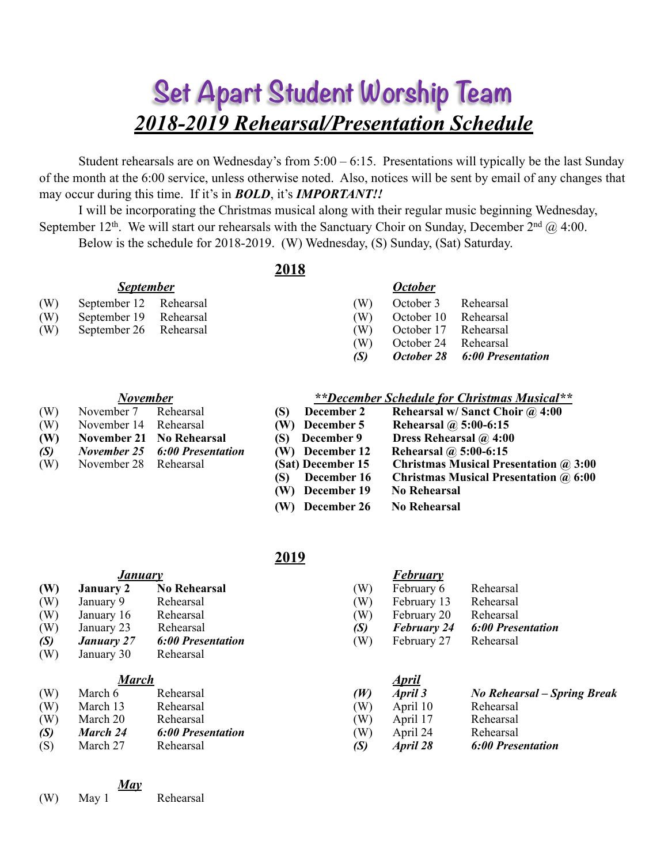# **Set Apart Student Worship Team** *2018-2019 Rehearsal/Presentation Schedule*

Student rehearsals are on Wednesday's from 5:00 – 6:15. Presentations will typically be the last Sunday of the month at the 6:00 service, unless otherwise noted. Also, notices will be sent by email of any changes that may occur during this time. If it's in *BOLD*, it's *IMPORTANT!!*

I will be incorporating the Christmas musical along with their regular music beginning Wednesday, September 12<sup>th</sup>. We will start our rehearsals with the Sanctuary Choir on Sunday, December 2<sup>nd</sup>  $\omega$  4:00. Below is the schedule for 2018-2019. (W) Wednesday, (S) Sunday, (Sat) Saturday.

**2018**

#### *September**October*

| (W) September 12 Rehearsal |  | (W) October 3 Rehearsal  |  |
|----------------------------|--|--------------------------|--|
| (W) September 19 Rehearsal |  | (W) October 10 Rehearsal |  |
| (W) September 26 Rehearsal |  | (W) October 17 Rehearsal |  |

(W) September 26 Rehearsal (W) October 17 Rehearsal (W) October 24 Rehearsal

*(S) October 28 6:00 Presentation*

#### *November*

- (W) November 14 Rehearsal
- **(W)** November 21 No Rehearsal
- *(S)* November 25 6:00 Presentation
- (W) November 28 Rehearsal

| **December Schedule for Christmas Musical** |  |  |
|---------------------------------------------|--|--|
|                                             |  |  |

| (W) | November 7 Rehearsal  |                                      | December 2<br>(S)             | Rehearsal w/ Sanct Choir @ 4:00              |
|-----|-----------------------|--------------------------------------|-------------------------------|----------------------------------------------|
| (W) | November 14 Rehearsal |                                      | (W) December 5                | Rehearsal $\omega$ 5:00-6:15                 |
| (W) |                       | <b>November 21 No Rehearsal</b>      | (S) December 9                | Dress Rehearsal @ 4:00                       |
| (S) |                       | <b>November 25 6:00 Presentation</b> | (W) December 12               | Rehearsal $\omega$ 5:00-6:15                 |
| (W) | November 28 Rehearsal |                                      | (Sat) December 15             | <b>Christmas Musical Presentation @ 3:00</b> |
|     |                       |                                      | December 16<br>(S)            | <b>Christmas Musical Presentation @ 6:00</b> |
|     |                       |                                      | (W) December 19               | <b>No Rehearsal</b>                          |
|     |                       |                                      | December 26<br>$(\mathbf{W})$ | No Rehearsal                                 |

### **2019**

| January |                   |                          |                | <b>February</b>    |                             |  |  |
|---------|-------------------|--------------------------|----------------|--------------------|-----------------------------|--|--|
| (W)     | <b>January 2</b>  | <b>No Rehearsal</b>      | (W)            | February 6         | Rehearsal                   |  |  |
| (W)     | January 9         | Rehearsal                | (W)            | February 13        | Rehearsal                   |  |  |
| (W)     | January 16        | Rehearsal                | (W)            | February 20        | Rehearsal                   |  |  |
| (W)     | January 23        | Rehearsal                | (S)            | <b>February 24</b> | <b>6:00 Presentation</b>    |  |  |
| (S)     | <b>January</b> 27 | <b>6:00 Presentation</b> | (W)            | February 27        | Rehearsal                   |  |  |
| (W)     | January 30        | Rehearsal                |                |                    |                             |  |  |
|         | <b>March</b>      |                          |                | <u>April</u>       |                             |  |  |
| (W)     | March 6           | Rehearsal                | (W)            | April 3            | No Rehearsal – Spring Break |  |  |
| (W)     | March 13          | Rehearsal                | (W)            | April 10           | Rehearsal                   |  |  |
| (W)     | March 20          | Rehearsal                | $(\mathrm{W})$ | April 17           | Rehearsal                   |  |  |

- *(S) March 24 6:00 Presentation*(W) April 24 Rehearsal
- (S) March 27 Rehearsal *(S) April 28 6:00 Presentation*
	- *May*
- (W) May 1 Rehearsal